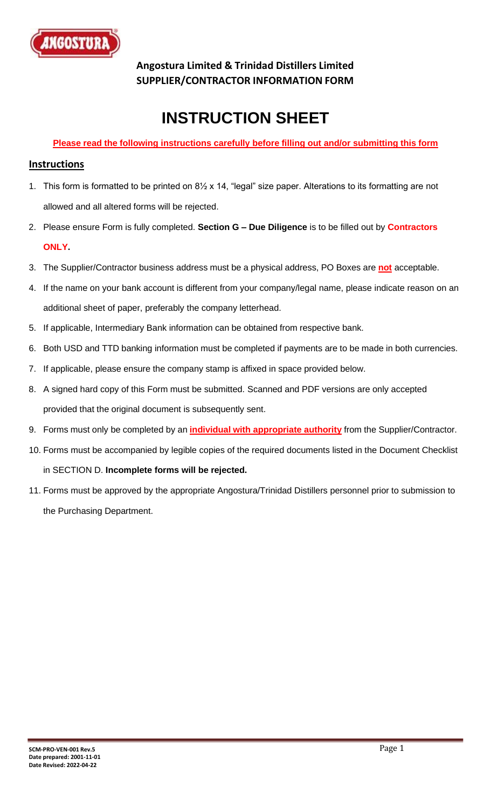

**Angostura Limited & Trinidad Distillers Limited SUPPLIER/CONTRACTOR INFORMATION FORM**

# **INSTRUCTION SHEET**

### **Please read the following instructions carefully before filling out and/or submitting this form**

### **Instructions**

- 1. This form is formatted to be printed on 8½ x 14, "legal" size paper. Alterations to its formatting are not allowed and all altered forms will be rejected.
- 2. Please ensure Form is fully completed. **Section G – Due Diligence** is to be filled out by **Contractors ONLY.**
- 3. The Supplier/Contractor business address must be a physical address, PO Boxes are **not** acceptable.
- 4. If the name on your bank account is different from your company/legal name, please indicate reason on an additional sheet of paper, preferably the company letterhead.
- 5. If applicable, Intermediary Bank information can be obtained from respective bank.
- 6. Both USD and TTD banking information must be completed if payments are to be made in both currencies.
- 7. If applicable, please ensure the company stamp is affixed in space provided below.
- 8. A signed hard copy of this Form must be submitted. Scanned and PDF versions are only accepted provided that the original document is subsequently sent.
- 9. Forms must only be completed by an **individual with appropriate authority** from the Supplier/Contractor.
- 10. Forms must be accompanied by legible copies of the required documents listed in the Document Checklist in SECTION D. **Incomplete forms will be rejected.**
- 11. Forms must be approved by the appropriate Angostura/Trinidad Distillers personnel prior to submission to the Purchasing Department.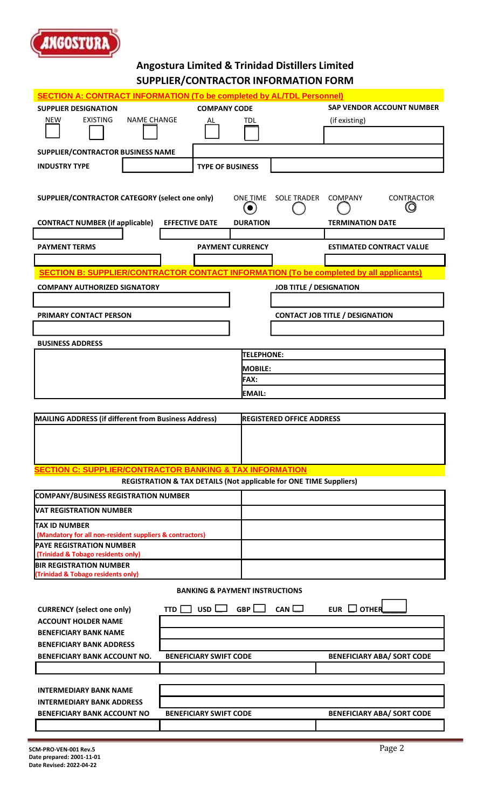

# **Angostura Limited & Trinidad Distillers Limited**

|                                                                                               | SUPPLIER/CONTRACTOR INFORMATION FORM                               |                              |                                  |                                        |  |  |
|-----------------------------------------------------------------------------------------------|--------------------------------------------------------------------|------------------------------|----------------------------------|----------------------------------------|--|--|
| <b>SECTION A: CONTRACT INFORMATION (To be completed by AL/TDL Personnel)</b>                  |                                                                    |                              |                                  |                                        |  |  |
| <b>SUPPLIER DESIGNATION</b>                                                                   | <b>COMPANY CODE</b>                                                |                              |                                  | <b>SAP VENDOR ACCOUNT NUMBER</b>       |  |  |
| <b>EXISTING</b><br><b>NAME CHANGE</b><br>NEW                                                  | AL                                                                 | TDL                          |                                  | (if existing)                          |  |  |
|                                                                                               |                                                                    |                              |                                  |                                        |  |  |
| SUPPLIER/CONTRACTOR BUSINESS NAME                                                             |                                                                    |                              |                                  |                                        |  |  |
| <b>INDUSTRY TYPE</b>                                                                          |                                                                    |                              |                                  |                                        |  |  |
|                                                                                               | <b>TYPE OF BUSINESS</b>                                            |                              |                                  |                                        |  |  |
| SUPPLIER/CONTRACTOR CATEGORY (select one only)                                                |                                                                    | <b>ONE TIME</b><br>$\bullet$ | <b>SOLE TRADER</b>               | <b>COMPANY</b><br>CONTRACTOR<br>lO     |  |  |
| <b>CONTRACT NUMBER (if applicable)</b>                                                        | <b>EFFECTIVE DATE</b>                                              | <b>DURATION</b>              |                                  | <b>TERMINATION DATE</b>                |  |  |
|                                                                                               |                                                                    |                              |                                  |                                        |  |  |
| <b>PAYMENT TERMS</b>                                                                          | <b>PAYMENT CURRENCY</b>                                            |                              |                                  | <b>ESTIMATED CONTRACT VALUE</b>        |  |  |
|                                                                                               |                                                                    |                              |                                  |                                        |  |  |
| <b>SECTION B: SUPPLIER/CONTRACTOR CONTACT INFORMATION (To be completed by all applicants)</b> |                                                                    |                              |                                  |                                        |  |  |
| <b>COMPANY AUTHORIZED SIGNATORY</b>                                                           |                                                                    |                              | <b>JOB TITLE / DESIGNATION</b>   |                                        |  |  |
|                                                                                               |                                                                    |                              |                                  |                                        |  |  |
| PRIMARY CONTACT PERSON                                                                        |                                                                    |                              |                                  | <b>CONTACT JOB TITLE / DESIGNATION</b> |  |  |
|                                                                                               |                                                                    |                              |                                  |                                        |  |  |
| <b>BUSINESS ADDRESS</b>                                                                       |                                                                    |                              |                                  |                                        |  |  |
|                                                                                               |                                                                    | TELEPHONE:                   |                                  |                                        |  |  |
|                                                                                               |                                                                    | <b>MOBILE:</b>               |                                  |                                        |  |  |
|                                                                                               |                                                                    | <b>FAX:</b>                  |                                  |                                        |  |  |
|                                                                                               |                                                                    | <b>EMAIL:</b>                |                                  |                                        |  |  |
| <b>MAILING ADDRESS (if different from Business Address)</b>                                   |                                                                    |                              | <b>REGISTERED OFFICE ADDRESS</b> |                                        |  |  |
|                                                                                               |                                                                    |                              |                                  |                                        |  |  |
| <b>SECTION C: SUPPLIER/CONTRACTOR BANKING &amp; TAX INFORMATION</b>                           |                                                                    |                              |                                  |                                        |  |  |
|                                                                                               | REGISTRATION & TAX DETAILS (Not applicable for ONE TIME Suppliers) |                              |                                  |                                        |  |  |
| <b>COMPANY/BUSINESS REGISTRATION NUMBER</b>                                                   |                                                                    |                              |                                  |                                        |  |  |
| VAT REGISTRATION NUMBER                                                                       |                                                                    |                              |                                  |                                        |  |  |
| <b>TAX ID NUMBER</b>                                                                          |                                                                    |                              |                                  |                                        |  |  |
| (Mandatory for all non-resident suppliers & contractors)<br><b>PAYE REGISTRATION NUMBER</b>   |                                                                    |                              |                                  |                                        |  |  |
| (Trinidad & Tobago residents only)                                                            |                                                                    |                              |                                  |                                        |  |  |
| <b>BIR REGISTRATION NUMBER</b><br><b>Trinidad &amp; Tobago residents only)</b>                |                                                                    |                              |                                  |                                        |  |  |
| <b>BANKING &amp; PAYMENT INSTRUCTIONS</b>                                                     |                                                                    |                              |                                  |                                        |  |  |
|                                                                                               |                                                                    |                              |                                  |                                        |  |  |
| <b>CURRENCY (select one only)</b>                                                             | usd l<br>TTD I                                                     | GBP                          | CAN                              | EUR $\Box$ OTHER                       |  |  |
| <b>ACCOUNT HOLDER NAME</b><br><b>BENEFICIARY BANK NAME</b>                                    |                                                                    |                              |                                  |                                        |  |  |
| <b>BENEFICIARY BANK ADDRESS</b>                                                               |                                                                    |                              |                                  |                                        |  |  |
| <b>BENEFICIARY BANK ACCOUNT NO.</b>                                                           | <b>BENEFICIARY SWIFT CODE</b>                                      |                              |                                  | <b>BENEFICIARY ABA/ SORT CODE</b>      |  |  |
|                                                                                               |                                                                    |                              |                                  |                                        |  |  |
|                                                                                               |                                                                    |                              |                                  |                                        |  |  |
| <b>INTERMEDIARY BANK NAME</b>                                                                 |                                                                    |                              |                                  |                                        |  |  |
| <b>INTERMEDIARY BANK ADDRESS</b><br><b>BENEFICIARY BANK ACCOUNT NO</b>                        | <b>BENEFICIARY SWIFT CODE</b>                                      |                              |                                  |                                        |  |  |
|                                                                                               |                                                                    |                              |                                  | <b>BENEFICIARY ABA/ SORT CODE</b>      |  |  |
|                                                                                               |                                                                    |                              |                                  |                                        |  |  |
| SCM-PRO-VEN-001 Rev.5                                                                         |                                                                    |                              |                                  | Page 2                                 |  |  |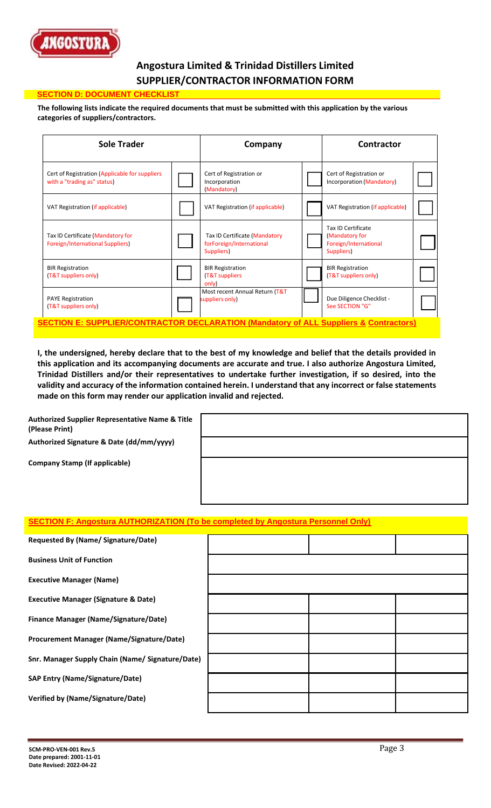

# **Angostura Limited & Trinidad Distillers Limited SUPPLIER/CONTRACTOR INFORMATION FORM**

#### **SECTION D: DOCUMENT CHECKLIS**

**The following lists indicate the required documents that must be submitted with this application by the various categories of suppliers/contractors.**

| <b>Sole Trader</b>                                                                               |  | Company                                                                 |  | Contractor                                                                  |  |
|--------------------------------------------------------------------------------------------------|--|-------------------------------------------------------------------------|--|-----------------------------------------------------------------------------|--|
| Cert of Registration (Applicable for suppliers<br>with a "trading as" status)                    |  | Cert of Registration or<br>Incorporation<br>(Mandatory)                 |  | Cert of Registration or<br>Incorporation (Mandatory)                        |  |
| VAT Registration (if applicable)                                                                 |  | VAT Registration (if applicable)                                        |  | VAT Registration (if applicable)                                            |  |
| Tax ID Certificate (Mandatory for<br><b>Foreign/International Suppliers)</b>                     |  | Tax ID Certificate (Mandatory<br>forForeign/International<br>Suppliers) |  | Tax ID Certificate<br>(Mandatory for<br>Foreign/International<br>Suppliers) |  |
| <b>BIR Registration</b><br>(T&T suppliers only)                                                  |  | <b>BIR Registration</b><br>(T&T suppliers<br>only)                      |  | <b>BIR Registration</b><br>(T&T suppliers only)                             |  |
| <b>PAYE Registration</b><br>(T&T suppliers only)                                                 |  | Most recent Annual Return (T&T<br>suppliers only)                       |  | Due Diligence Checklist -<br>See SECTION "G"                                |  |
| <b>SECTION E: SUPPLIER/CONTRACTOR DECLARATION (Mandatory of ALL Suppliers &amp; Contractors)</b> |  |                                                                         |  |                                                                             |  |

**I, the undersigned, hereby declare that to the best of my knowledge and belief that the details provided in this application and its accompanying documents are accurate and true. I also authorize Angostura Limited, Trinidad Distillers and/or their representatives to undertake further investigation, if so desired, into the validity and accuracy of the information contained herein. I understand that any incorrect or false statements made on this form may render our application invalid and rejected.**

**Authorized Supplier Representative Name & Title (Please Print)**

**Authorized Signature & Date (dd/mm/yyyy)**

**Company Stamp (If applicable)**

# **SECTION F: Angostura AUTHORIZATION (To be completed by Angostura Personnel Only)**

| Requested By (Name/ Signature/Date)              |  |  |
|--------------------------------------------------|--|--|
| <b>Business Unit of Function</b>                 |  |  |
| <b>Executive Manager (Name)</b>                  |  |  |
| <b>Executive Manager (Signature &amp; Date)</b>  |  |  |
| <b>Finance Manager (Name/Signature/Date)</b>     |  |  |
| <b>Procurement Manager (Name/Signature/Date)</b> |  |  |
| Snr. Manager Supply Chain (Name/ Signature/Date) |  |  |
| <b>SAP Entry (Name/Signature/Date)</b>           |  |  |
| <b>Verified by (Name/Signature/Date)</b>         |  |  |